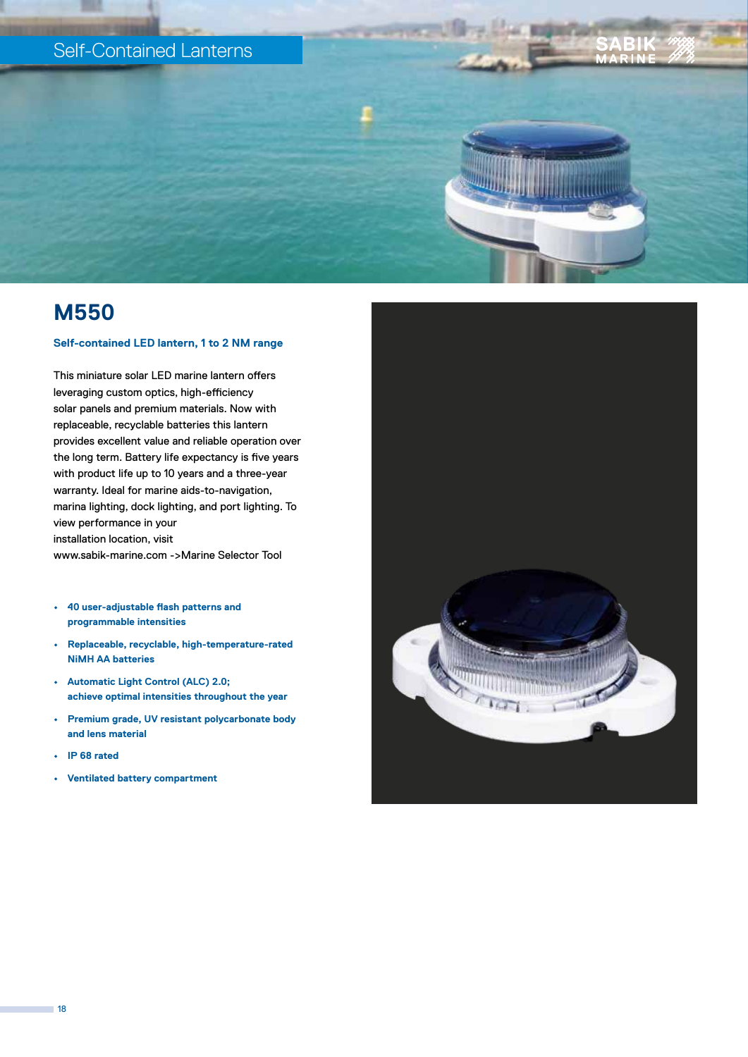# Self-Contained Lanterns

# **M550**

### **Self-contained LED lantern, 1 to 2 NM range**

This miniature solar LED marine lantern offers leveraging custom optics, high-efficiency solar panels and premium materials. Now with replaceable, recyclable batteries this lantern provides excellent value and reliable operation over the long term. Battery life expectancy is five years with product life up to 10 years and a three-year warranty. Ideal for marine aids-to-navigation, marina lighting, dock lighting, and port lighting. To view performance in your installation location, visit www.sabik-marine.com ->Marine Selector Tool

- **• 40 user-adjustable flash patterns and programmable intensities**
- **• Replaceable, recyclable, high-temperature-rated NiMH AA batteries**
- **• Automatic Light Control (ALC) 2.0; achieve optimal intensities throughout the year**
- **• Premium grade, UV resistant polycarbonate body and lens material**
- **• IP 68 rated**
- **• Ventilated battery compartment**